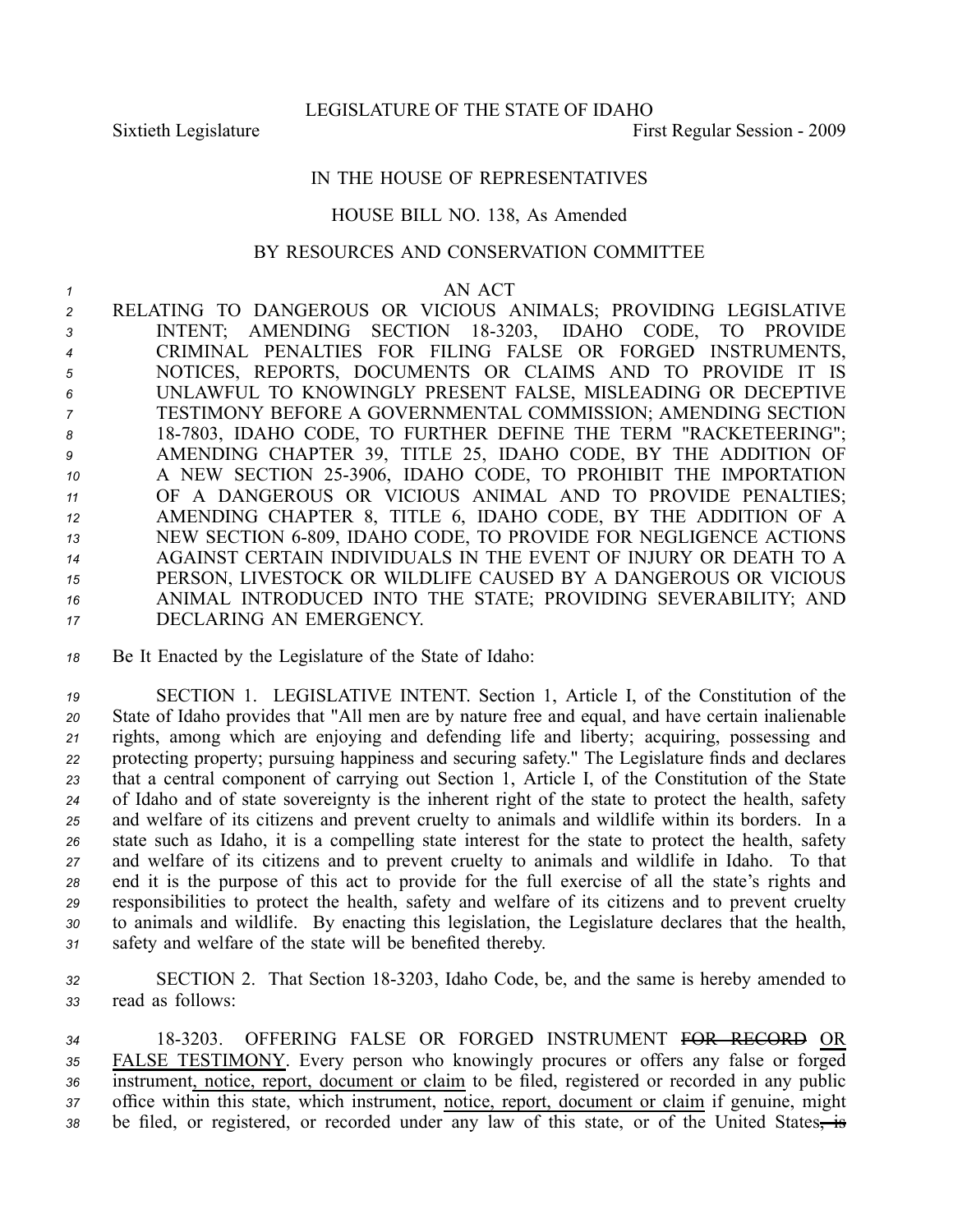LEGISLATURE OF THE STATE OF IDAHO

Sixtieth Legislature First Regular Session - 2009

## IN THE HOUSE OF REPRESENTATIVES

## HOUSE BILL NO. 138, As Amended

## BY RESOURCES AND CONSERVATION COMMITTEE

*1* AN ACT

 RELATING TO DANGEROUS OR VICIOUS ANIMALS; PROVIDING LEGISLATIVE INTENT; AMENDING SECTION 183203, IDAHO CODE, TO PROVIDE CRIMINAL PENALTIES FOR FILING FALSE OR FORGED INSTRUMENTS, NOTICES, REPORTS, DOCUMENTS OR CLAIMS AND TO PROVIDE IT IS UNLAWFUL TO KNOWINGLY PRESENT FALSE, MISLEADING OR DECEPTIVE TESTIMONY BEFORE A GOVERNMENTAL COMMISSION; AMENDING SECTION 187803, IDAHO CODE, TO FURTHER DEFINE THE TERM "RACKETEERING"; AMENDING CHAPTER 39, TITLE 25, IDAHO CODE, BY THE ADDITION OF 10 A NEW SECTION 25-3906, IDAHO CODE, TO PROHIBIT THE IMPORTATION OF A DANGEROUS OR VICIOUS ANIMAL AND TO PROVIDE PENALTIES; AMENDING CHAPTER 8, TITLE 6, IDAHO CODE, BY THE ADDITION OF A NEW SECTION 6809, IDAHO CODE, TO PROVIDE FOR NEGLIGENCE ACTIONS AGAINST CERTAIN INDIVIDUALS IN THE EVENT OF INJURY OR DEATH TO A PERSON, LIVESTOCK OR WILDLIFE CAUSED BY A DANGEROUS OR VICIOUS ANIMAL INTRODUCED INTO THE STATE; PROVIDING SEVERABILITY; AND DECLARING AN EMERGENCY.

*<sup>18</sup>* Be It Enacted by the Legislature of the State of Idaho:

 SECTION 1. LEGISLATIVE INTENT. Section 1, Article I, of the Constitution of the State of Idaho provides that "All men are by nature free and equal, and have certain inalienable rights, among which are enjoying and defending life and liberty; acquiring, possessing and protecting property; pursuing happiness and securing safety." The Legislature finds and declares that <sup>a</sup> central componen<sup>t</sup> of carrying out Section 1, Article I, of the Constitution of the State of Idaho and of state sovereignty is the inherent right of the state to protect the health, safety and welfare of its citizens and preven<sup>t</sup> cruelty to animals and wildlife within its borders. In <sup>a</sup> state such as Idaho, it is <sup>a</sup> compelling state interest for the state to protect the health, safety and welfare of its citizens and to preven<sup>t</sup> cruelty to animals and wildlife in Idaho. To that end it is the purpose of this act to provide for the full exercise of all the state's rights and responsibilities to protect the health, safety and welfare of its citizens and to preven<sup>t</sup> cruelty to animals and wildlife. By enacting this legislation, the Legislature declares that the health, safety and welfare of the state will be benefited thereby.

*<sup>32</sup>* SECTION 2. That Section 183203, Idaho Code, be, and the same is hereby amended to *<sup>33</sup>* read as follows:

 183203. OFFERING FALSE OR FORGED INSTRUMENT FOR RECORD OR FALSE TESTIMONY. Every person who knowingly procures or offers any false or forged instrument, notice, report, document or claim to be filed, registered or recorded in any public office within this state, which instrument, notice, report, document or claim if genuine, might 38 be filed, or registered, or recorded under any law of this state, or of the United States, is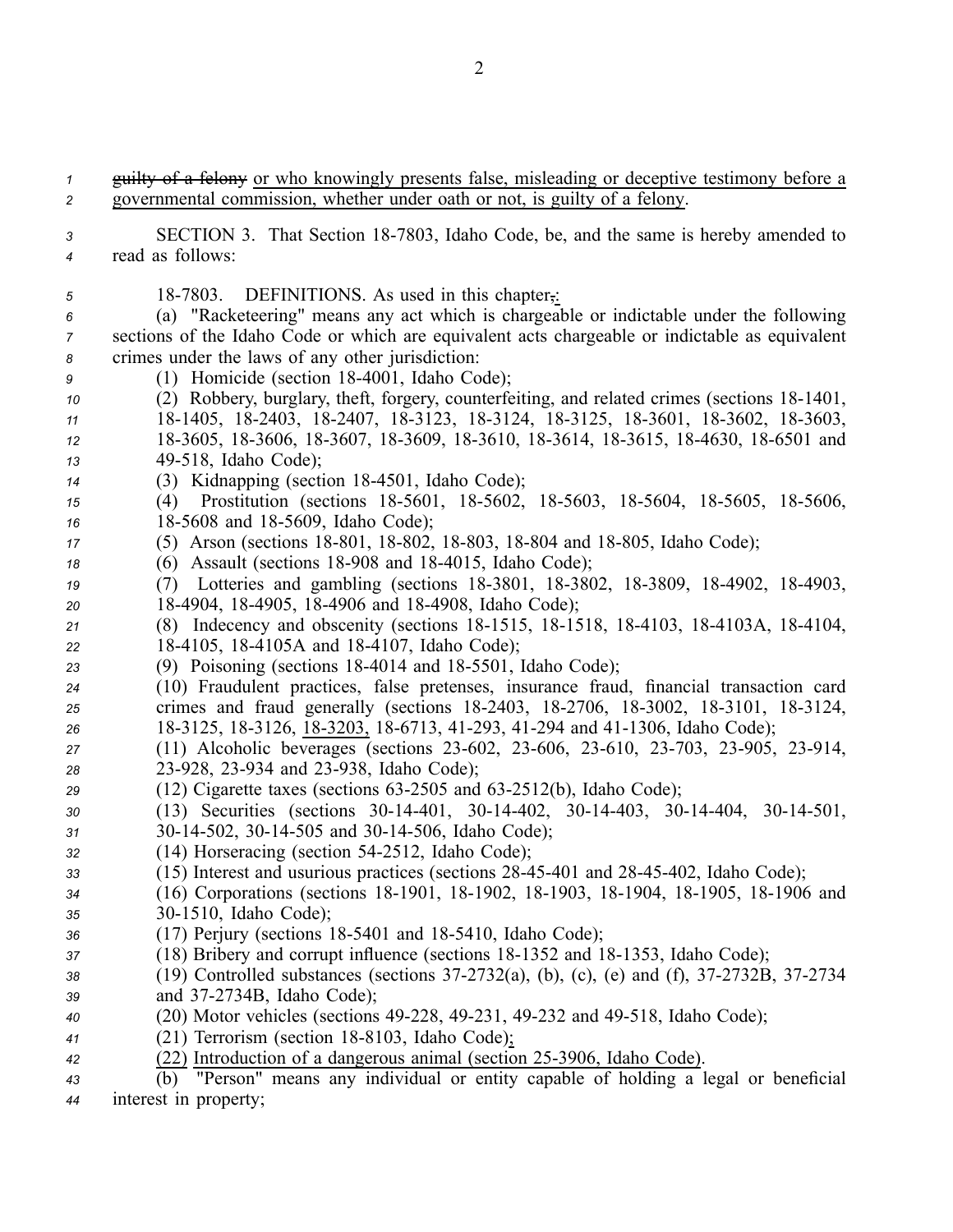*<sup>1</sup>* guilty of <sup>a</sup> felony or who knowingly presents false, misleading or deceptive testimony before <sup>a</sup> *<sup>2</sup>* governmental commission, whether under oath or not, is guilty of <sup>a</sup> felony.

*<sup>3</sup>* SECTION 3. That Section 187803, Idaho Code, be, and the same is hereby amended to *<sup>4</sup>* read as follows:

- *<sup>5</sup>* 187803. DEFINITIONS. As used in this chapter,:
- *<sup>6</sup>* (a) "Racketeering" means any act which is chargeable or indictable under the following *<sup>7</sup>* sections of the Idaho Code or which are equivalent acts chargeable or indictable as equivalent *<sup>8</sup>* crimes under the laws of any other jurisdiction:
- *<sup>9</sup>* (1) Homicide (section 184001, Idaho Code);
- *10* (2) Robbery, burglary, theft, forgery, counterfeiting, and related crimes (sections 18-1401, 11 18-1405, 18-2403, 18-2407, 18-3123, 18-3124, 18-3125, 18-3601, 18-3602, 18-3603, *<sup>12</sup>* 183605, 183606, 183607, 183609, 183610, 183614, 183615, 184630, 186501 and
- *<sup>13</sup>* 49518, Idaho Code);
- *<sup>14</sup>* (3) Kidnapping (section 184501, Idaho Code);
- *15* (4) Prostitution (sections 18-5601, 18-5602, 18-5603, 18-5604, 18-5605, 18-5606, *16* 18-5608 and 18-5609, Idaho Code);
- *17* (5) Arson (sections 18-801, 18-802, 18-803, 18-804 and 18-805, Idaho Code);
- *18* (6) Assault (sections 18-908 and 18-4015, Idaho Code);
- *19* (7) Lotteries and gambling (sections 18-3801, 18-3802, 18-3809, 18-4902, 18-4903, *<sup>20</sup>* 184904, 184905, 184906 and 184908, Idaho Code);
- 21 (8) Indecency and obscenity (sections 18-1515, 18-1518, 18-4103, 18-4103A, 18-4104,
- *<sup>22</sup>* 184105, 184105A and 184107, Idaho Code);
- *<sup>23</sup>* (9) Poisoning (sections 184014 and 185501, Idaho Code);
- *<sup>24</sup>* (10) Fraudulent practices, false pretenses, insurance fraud, financial transaction card *25* crimes and fraud generally (sections 18-2403, 18-2706, 18-3002, 18-3101, 18-3124, *26* 18-3125, 18-3126, 18-3203, 18-6713, 41-293, 41-294 and 41-1306, Idaho Code);
- *27* (11) Alcoholic beverages (sections 23-602, 23-606, 23-610, 23-703, 23-905, 23-914, 28 23-928, 23-934 and 23-938, Idaho Code);
- *29* (12) Cigarette taxes (sections 63-2505 and 63-2512(b), Idaho Code);
- *30* (13) Securities (sections 30-14-401, 30-14-402, 30-14-403, 30-14-404, 30-14-501,
- *<sup>31</sup>* 3014502, 3014505 and 3014506, Idaho Code);
- *<sup>32</sup>* (14) Horseracing (section 542512, Idaho Code);
- 33 (15) Interest and usurious practices (sections 28-45-401 and 28-45-402, Idaho Code);
- *34* (16) Corporations (sections 18-1901, 18-1902, 18-1903, 18-1904, 18-1905, 18-1906 and *<sup>35</sup>* 301510, Idaho Code);
- *36* (17) Perjury (sections 18-5401 and 18-5410, Idaho Code);
- *37* (18) Bribery and corrupt influence (sections 18-1352 and 18-1353, Idaho Code);
- 38 (19) Controlled substances (sections 37-2732(a), (b), (c), (e) and (f), 37-2732B, 37-2734
- *<sup>39</sup>* and 372734B, Idaho Code);
- *<sup>40</sup>* (20) Motor vehicles (sections 49228, 49231, 49232 and 49518, Idaho Code);
- *41* (21) Terrorism (section 18-8103, Idaho Code);
- *42* (22) Introduction of a dangerous animal (section 25-3906, Idaho Code).
- *<sup>43</sup>* (b) "Person" means any individual or entity capable of holding <sup>a</sup> legal or beneficial *<sup>44</sup>* interest in property;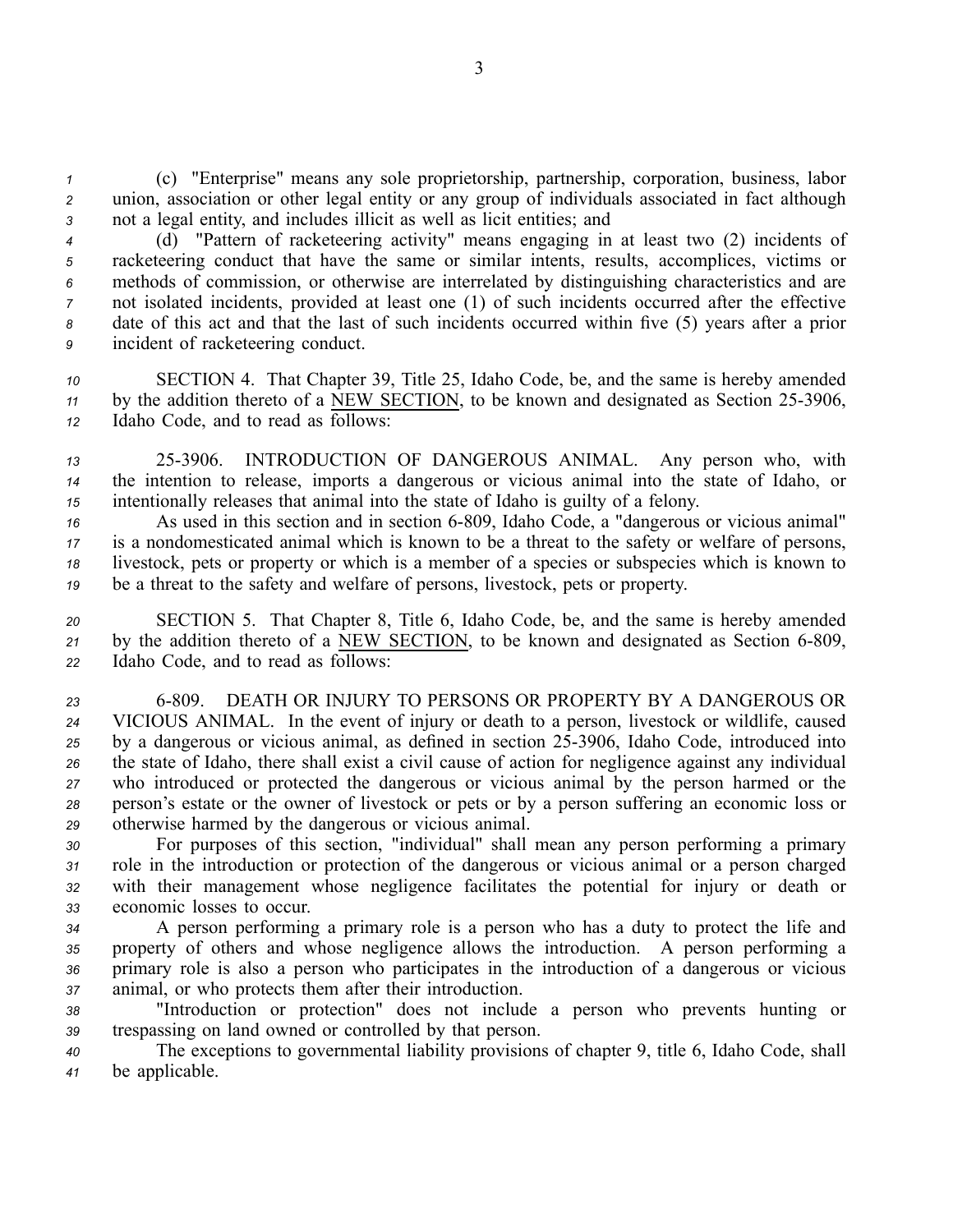*<sup>1</sup>* (c) "Enterprise" means any sole proprietorship, partnership, corporation, business, labor *<sup>2</sup>* union, association or other legal entity or any group of individuals associated in fact although *<sup>3</sup>* not <sup>a</sup> legal entity, and includes illicit as well as licit entities; and

 (d) "Pattern of racketeering activity" means engaging in at least two (2) incidents of racketeering conduct that have the same or similar intents, results, accomplices, victims or methods of commission, or otherwise are interrelated by distinguishing characteristics and are not isolated incidents, provided at least one (1) of such incidents occurred after the effective date of this act and that the last of such incidents occurred within five (5) years after <sup>a</sup> prior incident of racketeering conduct.

*<sup>10</sup>* SECTION 4. That Chapter 39, Title 25, Idaho Code, be, and the same is hereby amended *11* by the addition thereto of a NEW SECTION, to be known and designated as Section 25-3906, *<sup>12</sup>* Idaho Code, and to read as follows:

*<sup>13</sup>* 253906. INTRODUCTION OF DANGEROUS ANIMAL. Any person who, with *<sup>14</sup>* the intention to release, imports <sup>a</sup> dangerous or vicious animal into the state of Idaho, or *<sup>15</sup>* intentionally releases that animal into the state of Idaho is guilty of <sup>a</sup> felony.

 As used in this section and in section 6809, Idaho Code, <sup>a</sup> "dangerous or vicious animal" is <sup>a</sup> nondomesticated animal which is known to be <sup>a</sup> threat to the safety or welfare of persons, livestock, pets or property or which is <sup>a</sup> member of <sup>a</sup> species or subspecies which is known to be <sup>a</sup> threat to the safety and welfare of persons, livestock, pets or property.

*<sup>20</sup>* SECTION 5. That Chapter 8, Title 6, Idaho Code, be, and the same is hereby amended <sup>21</sup> by the addition thereto of a NEW SECTION, to be known and designated as Section 6-809, *<sup>22</sup>* Idaho Code, and to read as follows:

 6809. DEATH OR INJURY TO PERSONS OR PROPERTY BY A DANGEROUS OR VICIOUS ANIMAL. In the event of injury or death to <sup>a</sup> person, livestock or wildlife, caused by <sup>a</sup> dangerous or vicious animal, as defined in section 253906, Idaho Code, introduced into the state of Idaho, there shall exist <sup>a</sup> civil cause of action for negligence against any individual who introduced or protected the dangerous or vicious animal by the person harmed or the person's estate or the owner of livestock or pets or by <sup>a</sup> person suffering an economic loss or otherwise harmed by the dangerous or vicious animal.

 For purposes of this section, "individual" shall mean any person performing <sup>a</sup> primary role in the introduction or protection of the dangerous or vicious animal or <sup>a</sup> person charged with their managemen<sup>t</sup> whose negligence facilitates the potential for injury or death or economic losses to occur.

 A person performing <sup>a</sup> primary role is <sup>a</sup> person who has <sup>a</sup> duty to protect the life and property of others and whose negligence allows the introduction. A person performing <sup>a</sup> primary role is also <sup>a</sup> person who participates in the introduction of <sup>a</sup> dangerous or vicious animal, or who protects them after their introduction.

*<sup>38</sup>* "Introduction or protection" does not include <sup>a</sup> person who prevents hunting or *<sup>39</sup>* trespassing on land owned or controlled by that person.

*<sup>40</sup>* The exceptions to governmental liability provisions of chapter 9, title 6, Idaho Code, shall *<sup>41</sup>* be applicable.